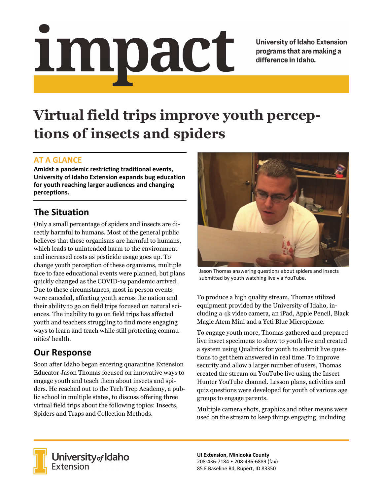# <u>impact</u>

**University of Idaho Extension** programs that are making a difference in Idaho.

# **Virtual field trips improve youth perceptions of insects and spiders**

### **AT A GLANCE**

**Amidst a pandemic restricting traditional events, University of Idaho Extension expands bug education for youth reaching larger audiences and changing perceptions.**

## **The Situation**

Only a small percentage of spiders and insects are directly harmful to humans. Most of the general public believes that these organisms are harmful to humans, which leads to unintended harm to the environment and increased costs as pesticide usage goes up. To change youth perception of these organisms, multiple face to face educational events were planned, but plans quickly changed as the COVID-19 pandemic arrived. Due to these circumstances, most in person events were canceled, affecting youth across the nation and their ability to go on field trips focused on natural sciences. The inability to go on field trips has affected youth and teachers struggling to find more engaging ways to learn and teach while still protecting communities' health.

### **Our Response**

Soon after Idaho began entering quarantine Extension Educator Jason Thomas focused on innovative ways to engage youth and teach them about insects and spiders. He reached out to the Tech Trep Academy, a public school in multiple states, to discuss offering three virtual field trips about the following topics: Insects, Spiders and Traps and Collection Methods.



Jason Thomas answering questions about spiders and insects submitted by youth watching live via YouTube.

To produce a high quality stream, Thomas utilized equipment provided by the University of Idaho, including a 4k video camera, an iPad, Apple Pencil, Black Magic Atem Mini and a Yeti Blue Microphone.

To engage youth more, Thomas gathered and prepared live insect specimens to show to youth live and created a system using Qualtrics for youth to submit live questions to get them answered in real time. To improve security and allow a larger number of users, Thomas created the stream on YouTube live using the Insect Hunter YouTube channel. Lesson plans, activities and quiz questions were developed for youth of various age groups to engage parents.

Multiple camera shots, graphics and other means were used on the stream to keep things engaging, including



**University** of Idaho<br>Extension

**UI Extension, Minidoka County** 208‐436‐7184 • 208‐436‐6889 (fax) 85 E Baseline Rd, Rupert, ID 83350